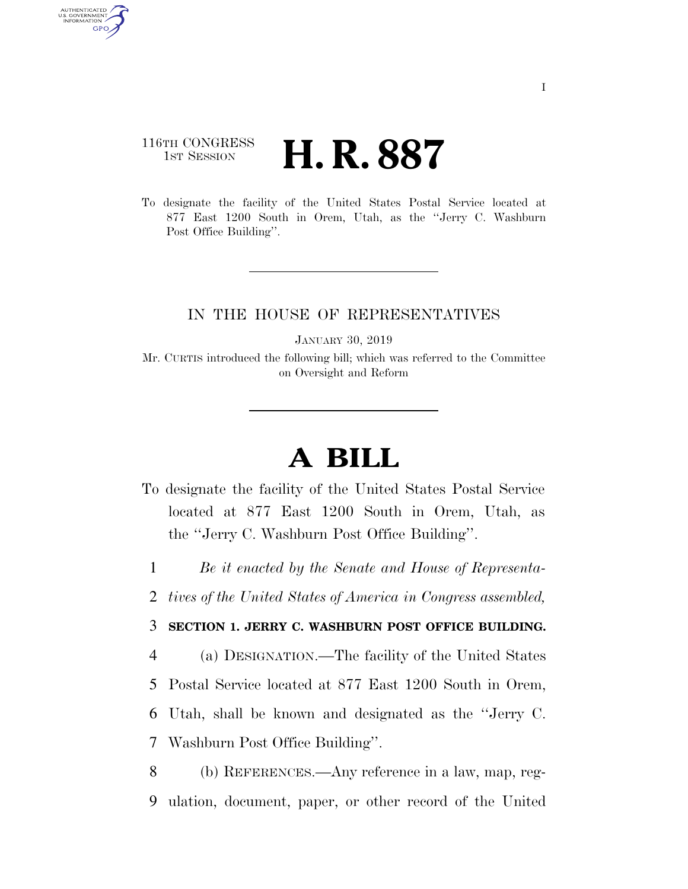## 116TH CONGRESS **1st Session H. R. 887**

AUTHENTICATED U.S. GOVERNMENT **GPO** 

> To designate the facility of the United States Postal Service located at 877 East 1200 South in Orem, Utah, as the ''Jerry C. Washburn Post Office Building''.

## IN THE HOUSE OF REPRESENTATIVES

JANUARY 30, 2019

Mr. CURTIS introduced the following bill; which was referred to the Committee on Oversight and Reform

## **A BILL**

- To designate the facility of the United States Postal Service located at 877 East 1200 South in Orem, Utah, as the ''Jerry C. Washburn Post Office Building''.
	- 1 *Be it enacted by the Senate and House of Representa-*
- 2 *tives of the United States of America in Congress assembled,*

## 3 **SECTION 1. JERRY C. WASHBURN POST OFFICE BUILDING.**

 (a) DESIGNATION.—The facility of the United States Postal Service located at 877 East 1200 South in Orem, Utah, shall be known and designated as the ''Jerry C. Washburn Post Office Building''.

8 (b) REFERENCES.—Any reference in a law, map, reg-9 ulation, document, paper, or other record of the United